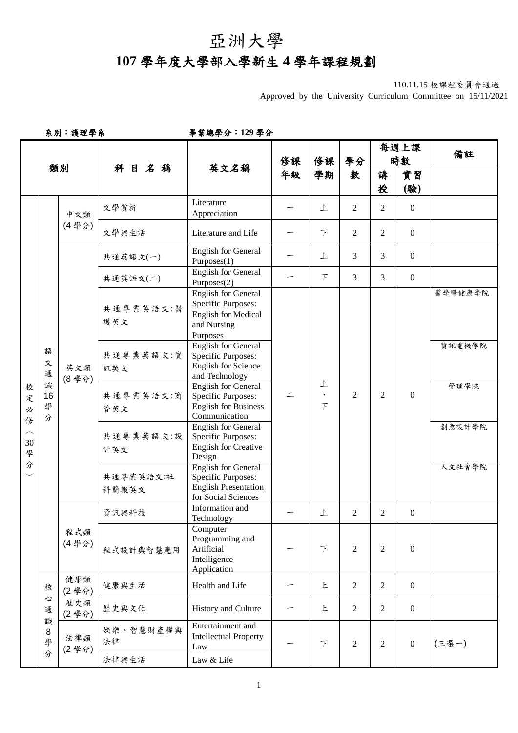## 亞洲大學

## **107** 學年度大學部入學新生 **4** 學年課程規劃

Approved by the University Curriculum Committee on 15/11/2021

系別:護理學系畢業總學分:**129** 學分

| 類別                          |                                  |              | 科目名稱                                                                                                                 | 英文名稱                                                                                                                        | 修課       | 修課                     | 學分<br>數            | 每週上課<br>時數                                                                                             |                  | 備註                                                                       |                  |                                                                                                  |                |                |                  |  |  |        |
|-----------------------------|----------------------------------|--------------|----------------------------------------------------------------------------------------------------------------------|-----------------------------------------------------------------------------------------------------------------------------|----------|------------------------|--------------------|--------------------------------------------------------------------------------------------------------|------------------|--------------------------------------------------------------------------|------------------|--------------------------------------------------------------------------------------------------|----------------|----------------|------------------|--|--|--------|
|                             |                                  |              |                                                                                                                      |                                                                                                                             | 年級       | 學期                     |                    | 講<br>授                                                                                                 | 實習<br>(驗)        |                                                                          |                  |                                                                                                  |                |                |                  |  |  |        |
|                             |                                  | 中文類<br>(4學分) | 文學賞析                                                                                                                 | Literature<br>Appreciation                                                                                                  |          | 上                      | $\overline{2}$     | $\overline{2}$                                                                                         | $\boldsymbol{0}$ |                                                                          |                  |                                                                                                  |                |                |                  |  |  |        |
|                             |                                  |              | 文學與生活                                                                                                                | Literature and Life                                                                                                         |          | F                      | $\overline{2}$     | $\overline{2}$                                                                                         | $\overline{0}$   |                                                                          |                  |                                                                                                  |                |                |                  |  |  |        |
|                             |                                  |              | 共通英語文(一)                                                                                                             | <b>English for General</b><br>Purposes(1)                                                                                   |          | 上                      | 3                  | $\overline{3}$                                                                                         | $\overline{0}$   |                                                                          |                  |                                                                                                  |                |                |                  |  |  |        |
|                             |                                  |              | 共通英語文(二)                                                                                                             | <b>English for General</b><br>Purposes(2)                                                                                   |          | F                      | 3                  | $\overline{3}$                                                                                         | $\overline{0}$   |                                                                          |                  |                                                                                                  |                |                |                  |  |  |        |
| 校<br>定<br>必<br>俢<br>30<br>學 | 語<br>文<br>通<br>識<br>16<br>學<br>分 | 英文類<br>(8學分) | 共通專業英語文:醫<br>護英文                                                                                                     | <b>English for General</b><br>Specific Purposes:<br><b>English for Medical</b><br>and Nursing<br>Purposes                   |          |                        |                    |                                                                                                        |                  | 醫學暨健康學院                                                                  |                  |                                                                                                  |                |                |                  |  |  |        |
|                             |                                  |              |                                                                                                                      |                                                                                                                             |          |                        |                    |                                                                                                        |                  |                                                                          | 共通專業英語文:資<br>訊英文 | <b>English for General</b><br>Specific Purposes:<br><b>English for Science</b><br>and Technology |                |                |                  |  |  | 資訊電機學院 |
|                             |                                  |              |                                                                                                                      | <b>English for General</b><br>共通專業英語文:商<br><b>Specific Purposes:</b><br><b>English for Business</b><br>管英文<br>Communication | $\equiv$ | 上<br>$\mathbf{v}$<br>F | $\overline{2}$     | $\overline{2}$                                                                                         | $\boldsymbol{0}$ | 管理學院                                                                     |                  |                                                                                                  |                |                |                  |  |  |        |
|                             |                                  |              | <b>English for General</b><br>共通專業英語文:設<br><b>Specific Purposes:</b><br><b>English for Creative</b><br>計英文<br>Design |                                                                                                                             |          |                        |                    |                                                                                                        | 創意設計學院           |                                                                          |                  |                                                                                                  |                |                |                  |  |  |        |
| 分                           |                                  |              |                                                                                                                      |                                                                                                                             |          |                        | 共通專業英語文:社<br>科簡報英文 | <b>English for General</b><br>Specific Purposes:<br><b>English Presentation</b><br>for Social Sciences |                  |                                                                          |                  |                                                                                                  |                | 人文社會學院         |                  |  |  |        |
|                             |                                  | 程式類<br>(4學分) | 資訊與科技                                                                                                                | Information and<br>Technology                                                                                               |          | 上                      | $\overline{2}$     | 2                                                                                                      | $\boldsymbol{0}$ |                                                                          |                  |                                                                                                  |                |                |                  |  |  |        |
|                             |                                  |              |                                                                                                                      |                                                                                                                             |          |                        |                    |                                                                                                        | 程式設計與智慧應用        | Computer<br>Programming and<br>Artificial<br>Intelligence<br>Application |                  | F                                                                                                | $\overline{2}$ | $\overline{2}$ | $\boldsymbol{0}$ |  |  |        |
|                             | 核                                | 健康類<br>(2學分) | 健康與生活                                                                                                                | Health and Life                                                                                                             |          | 上                      | $\overline{2}$     | $\overline{2}$                                                                                         | $\overline{0}$   |                                                                          |                  |                                                                                                  |                |                |                  |  |  |        |
|                             | $\ddot{\omega}$<br>通<br>識        | 歷史類<br>(2學分) | 歷史與文化                                                                                                                | History and Culture                                                                                                         |          | 上                      | $\overline{2}$     | $\overline{2}$                                                                                         | $\overline{0}$   |                                                                          |                  |                                                                                                  |                |                |                  |  |  |        |
|                             | 8<br>學<br>分                      | 法律類<br>(2學分) | 娱樂、智慧財產權與<br>法律                                                                                                      | Entertainment and<br><b>Intellectual Property</b><br>Law                                                                    |          | F                      | $\sqrt{2}$         | $\overline{2}$                                                                                         | $\overline{0}$   | (三選一)                                                                    |                  |                                                                                                  |                |                |                  |  |  |        |
|                             |                                  |              | 法律與生活                                                                                                                | Law & Life                                                                                                                  |          |                        |                    |                                                                                                        |                  |                                                                          |                  |                                                                                                  |                |                |                  |  |  |        |

<sup>110.11.15</sup> 校課程委員會通過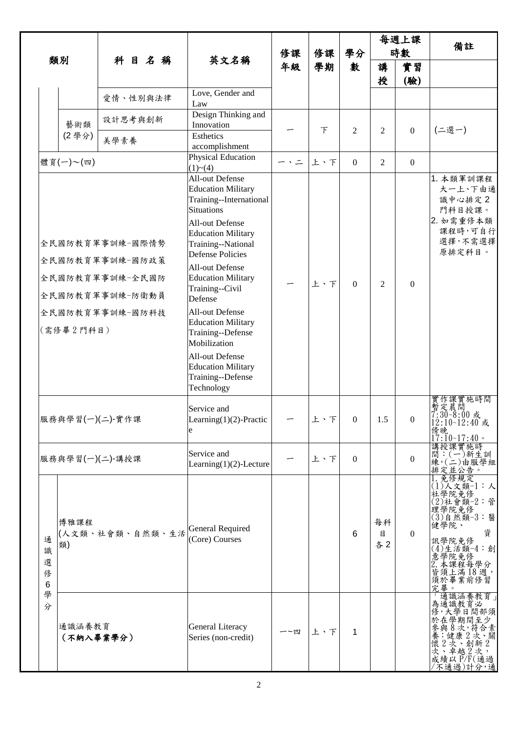|                       |                     |                                                                                             |                                                                                                                                                                                                                                                                                                                                                                                                                                                            | 修課           | 修課     | 學分               |                | 每週上課<br>時數       | 備註                                                                                                                                                                    |
|-----------------------|---------------------|---------------------------------------------------------------------------------------------|------------------------------------------------------------------------------------------------------------------------------------------------------------------------------------------------------------------------------------------------------------------------------------------------------------------------------------------------------------------------------------------------------------------------------------------------------------|--------------|--------|------------------|----------------|------------------|-----------------------------------------------------------------------------------------------------------------------------------------------------------------------|
|                       | 類別                  | 科目名稱                                                                                        | 英文名稱                                                                                                                                                                                                                                                                                                                                                                                                                                                       | 年級           | 學期     | 數                | 講              | 實習               |                                                                                                                                                                       |
|                       |                     |                                                                                             |                                                                                                                                                                                                                                                                                                                                                                                                                                                            |              |        |                  | 授              | (驗)              |                                                                                                                                                                       |
|                       |                     | 愛情、性別與法律                                                                                    | Love, Gender and<br>Law                                                                                                                                                                                                                                                                                                                                                                                                                                    |              |        |                  |                |                  |                                                                                                                                                                       |
|                       | 藝術類                 | 設計思考與創新                                                                                     | Design Thinking and<br>Innovation                                                                                                                                                                                                                                                                                                                                                                                                                          |              | $\top$ | 2                | $\overline{c}$ | $\boldsymbol{0}$ | (二選一)                                                                                                                                                                 |
|                       | (2學分)               | 美學素養                                                                                        | Esthetics<br>accomplishment                                                                                                                                                                                                                                                                                                                                                                                                                                |              |        |                  |                |                  |                                                                                                                                                                       |
|                       | 體育(一)~(四)           |                                                                                             | Physical Education<br>(1)~(4)                                                                                                                                                                                                                                                                                                                                                                                                                              | $ \cdot$ $-$ | 上、下    | $\overline{0}$   | $\overline{2}$ | $\mathbf{0}$     |                                                                                                                                                                       |
|                       | (需修畢2門科目)           | 全民國防教育軍事訓練-國際情勢<br>全民國防教育軍事訓練-國防政策<br>全民國防教育軍事訓練-全民國防<br>全民國防教育軍事訓練-防衛動員<br>全民國防教育軍事訓練-國防科技 | <b>All-out Defense</b><br><b>Education Military</b><br>Training--International<br><b>Situations</b><br>All-out Defense<br><b>Education Military</b><br>Training--National<br><b>Defense Policies</b><br>All-out Defense<br><b>Education Military</b><br>Training--Civil<br>Defense<br>All-out Defense<br><b>Education Military</b><br>Training--Defense<br>Mobilization<br>All-out Defense<br><b>Education Military</b><br>Training--Defense<br>Technology |              | 上、下    | $\Omega$         | $\overline{2}$ | $\Omega$         | 1. 本類軍訓課程<br>大一上、下由通<br>識中心排定2<br>門科目授課。<br>2. 如需重修本類<br>課程時,可自行<br>選擇,不需選擇<br>原排定科目。                                                                                 |
|                       |                     | 服務與學習(一)(二)-實作課                                                                             | Service and<br>Learning $(1)(2)$ -Practic<br>e                                                                                                                                                                                                                                                                                                                                                                                                             |              | 上、下    | $\boldsymbol{0}$ | 1.5            | $\boldsymbol{0}$ | 實作課實施時間<br>暫定晨間<br>7:30~8:00 或<br>12:10~12:40 或<br>傍晚<br>$17:10-17:40$ .                                                                                              |
|                       |                     | 服務與學習(一)(二)-講授課                                                                             | Service and<br>Learning $(1)(2)$ -Lecture                                                                                                                                                                                                                                                                                                                                                                                                                  |              | 上、下    | $\Omega$         |                | $\Omega$         | 講授課實施時<br>間:(一)新生訓<br>練,(二)由服學組<br>排定並公告。                                                                                                                             |
| 通<br>識<br>選<br>修<br>6 | 博雅課程<br>類)          | (人文類、社會類、自然類、生活                                                                             | General Required<br>(Core) Courses                                                                                                                                                                                                                                                                                                                                                                                                                         |              |        | 6                | 每科<br>目<br>各2  | $\Omega$         | 免修規定<br>$(1)$ 人文類 $-1:$ 人<br>社學院免修<br>(2)社會類-2:管<br>理學院免修<br>(3)自然類-3:醫<br>健學院、<br>資<br>訊學院免修<br>$(4)$ 生活類-4:創<br>「意2」皆須究畢。<br>「學本須提滿」「第1879年。現在程序提升」「第1899年(1879年)」。 |
| 學<br>分                | 通識涵養教育<br>(不納入畢業學分) |                                                                                             | General Literacy<br>Series (non-credit)                                                                                                                                                                                                                                                                                                                                                                                                                    | 一~四          | 上、下    | 1                |                |                  | 元- 為修於參養懷次成/不鐘通,在與:2、績取《本與》,在與:2、績不過通,在學名健次卓成。<br>第一次學學期,在康<br>《越教學期,我會是,我們的,這一面。<br>第一次學學的,越是的,是,我們的,是,我們的,                                                          |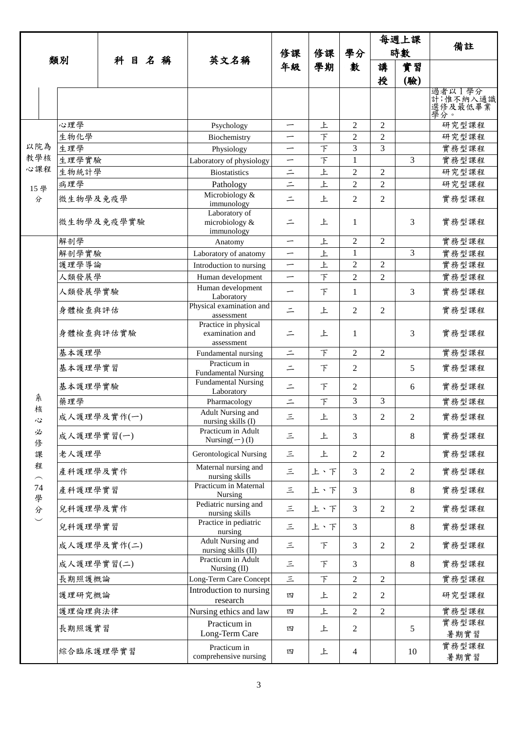|                         |              |             |                                                                |     |                                                       |                          |                |                                  | 每週上課                             |                |                                      |
|-------------------------|--------------|-------------|----------------------------------------------------------------|-----|-------------------------------------------------------|--------------------------|----------------|----------------------------------|----------------------------------|----------------|--------------------------------------|
|                         |              | 科目名稱        |                                                                | 修課  | 修課                                                    | 學分                       | 時數             |                                  | 備註                               |                |                                      |
|                         | 類別           |             |                                                                |     | 英文名稱                                                  | 年級                       | 學期             | 數                                | 講                                | 實習             |                                      |
|                         |              |             |                                                                |     |                                                       |                          |                |                                  | 授                                | (驗)            |                                      |
|                         |              |             |                                                                |     |                                                       |                          |                |                                  |                                  |                | 過者以1學分<br>計,惟不納入通識<br>選修及最低畢業<br>學分。 |
|                         | 心理學          |             |                                                                |     | Psychology                                            |                          | 上              | $\overline{c}$                   | $\overline{2}$                   |                | 研究型課程                                |
|                         | 生物化學         |             |                                                                |     | Biochemistry                                          | —                        | $\top$         | 2                                | $\overline{2}$                   |                | 研究型課程                                |
| 以院為<br>教學核              | 生理學          |             |                                                                |     | Physiology                                            | $\overline{\phantom{0}}$ | $\top$         | 3                                | 3                                |                | 實務型課程                                |
| 心課程                     | 生理學實驗        |             |                                                                |     | Laboratory of physiology                              | —                        | $\top$<br>上    | $\mathbf{1}$                     |                                  | 3              | 實務型課程                                |
|                         | 生物統計學<br>病理學 |             |                                                                |     | <b>Biostatistics</b><br>Pathology                     | $\equiv$<br>$\equiv$     | 上              | $\overline{2}$<br>$\overline{2}$ | $\overline{2}$<br>$\overline{2}$ |                | 研究型課程<br>研究型課程                       |
| 15學<br>分                | 微生物學及免疫學     |             |                                                                |     | Microbiology &<br>immunology                          | $\equiv$                 | 上              | 2                                | 2                                |                | 實務型課程                                |
|                         | 微生物學及免疫學實驗   |             |                                                                |     | Laboratory of<br>microbiology &<br>immunology         | $\equiv$                 | 上              | 1                                |                                  | 3              | 實務型課程                                |
|                         | 解剖學          |             |                                                                |     | Anatomy                                               | —                        | 上              | $\overline{2}$                   | $\overline{2}$                   |                | 實務型課程                                |
|                         | 解剖學實驗        |             |                                                                |     | Laboratory of anatomy                                 | -                        | 上              | $\mathbf{1}$                     |                                  | 3              | 實務型課程                                |
|                         |              | 護理學導論       |                                                                |     | Introduction to nursing                               | $\overline{\phantom{m}}$ | 上<br>$\bar{T}$ | $\overline{2}$<br>$\overline{2}$ | $\overline{2}$<br>$\overline{2}$ |                | 實務型課程                                |
|                         | 人類發展學        |             |                                                                |     | Human development<br>Human development                | $\overline{\phantom{0}}$ |                |                                  |                                  |                | 實務型課程                                |
|                         | 人類發展學實驗      |             |                                                                |     | Laboratory                                            | -                        | F              | $\mathbf{1}$                     |                                  | 3              | 實務型課程                                |
|                         | 身體檢查與評估      |             | Physical examination and<br>assessment<br>Practice in physical | $=$ | 上                                                     | $\overline{c}$           | 2              |                                  | 實務型課程                            |                |                                      |
|                         | 身體檢查與評估實驗    |             |                                                                |     | examination and<br>assessment                         | $\equiv$                 | 上              | $\mathbf{1}$                     |                                  | 3              | 實務型課程                                |
|                         | 基本護理學        |             |                                                                |     | Fundamental nursing                                   | $\equiv$                 | $\top$         | $\overline{2}$                   | $\overline{2}$                   |                | 實務型課程                                |
|                         |              | 基本護理學實習     |                                                                |     | Practicum in<br><b>Fundamental Nursing</b>            | $\equiv$                 | 下              | $\overline{2}$                   |                                  | 5              | 實務型課程                                |
| 糸                       | 藥理學          | 基本護理學實驗     |                                                                |     | <b>Fundamental Nursing</b><br>Laboratory              | $\equiv$                 | F              | $\overline{2}$<br>3              | 3                                | 6              | 實務型課程                                |
| 核                       |              |             |                                                                |     | Pharmacology<br>Adult Nursing and                     | $\equiv$                 | F              |                                  |                                  |                | 實務型課程                                |
| 心<br>必                  |              | 成人護理學及實作(一) |                                                                |     | nursing skills (I)<br>Practicum in Adult              | 三                        | 上              | 3                                | 2                                | $\overline{2}$ | 實務型課程                                |
| 俢                       |              | 成人護理學實習(一)  |                                                                |     | Nursing $(\neg)$ (I)                                  | 三                        | 上              | 3                                |                                  | 8              | 實務型課程                                |
| 課<br>程                  | 老人護理學        |             |                                                                |     | <b>Gerontological Nursing</b><br>Maternal nursing and | 三                        | 上              | $\overline{2}$                   | $\overline{2}$                   |                | 實務型課程                                |
| $\widehat{\phantom{m}}$ | 產科護理學及實作     |             |                                                                |     | nursing skills<br>Practicum in Maternal               | 三                        | 上、下            | $\mathfrak{Z}$                   | $\overline{2}$                   | $\overline{2}$ | 實務型課程                                |
| 74<br>學                 |              | 產科護理學實習     |                                                                |     | Nursing<br>Pediatric nursing and                      | 三                        | 上、下            | 3                                |                                  | $\,8\,$        | 實務型課程                                |
| 分<br>$\smile$           |              | 兒科護理學及實作    |                                                                |     | nursing skills                                        | 三                        | 上、下            | 3                                | $\overline{2}$                   | $\overline{2}$ | 實務型課程                                |
|                         |              | 兒科護理學實習     |                                                                |     | Practice in pediatric<br>nursing                      | $\equiv$                 | 上、下            | 3                                |                                  | $\,8\,$        | 實務型課程                                |
|                         | 成人護理學及實作(二)  |             |                                                                |     | <b>Adult Nursing and</b><br>nursing skills (II)       | 三                        | 下              | $\mathfrak{Z}$                   | $\overline{2}$                   | $\overline{2}$ | 實務型課程                                |
|                         | 成人護理學實習(二)   |             |                                                                |     | Practicum in Adult<br>Nursing (II)                    | 三                        | 下              | $\mathfrak{Z}$                   |                                  | $\,8\,$        | 實務型課程                                |
|                         | 長期照護概論       |             |                                                                |     | Long-Term Care Concept                                | $\equiv$                 | $\top$         | $\mathbf{2}$                     | $\overline{2}$                   |                | 實務型課程                                |
|                         |              | 護理研究概論      |                                                                |     | Introduction to nursing<br>research                   | 四                        | 上              | $\overline{2}$                   | 2                                |                | 研究型課程                                |
|                         | 護理倫理與法律      |             |                                                                |     | Nursing ethics and law                                | 四                        | 上              | $\overline{2}$                   | $\overline{2}$                   |                | 實務型課程                                |
|                         | 長期照護實習       |             |                                                                |     | Practicum in<br>Long-Term Care                        | 四                        | 上              | $\overline{c}$                   |                                  | 5              | 實務型課程<br>暑期實習                        |
|                         |              | 綜合臨床護理學實習   |                                                                |     | Practicum in<br>comprehensive nursing                 | 四                        | 上              | $\overline{4}$                   |                                  | 10             | 實務型課程<br>暑期實習                        |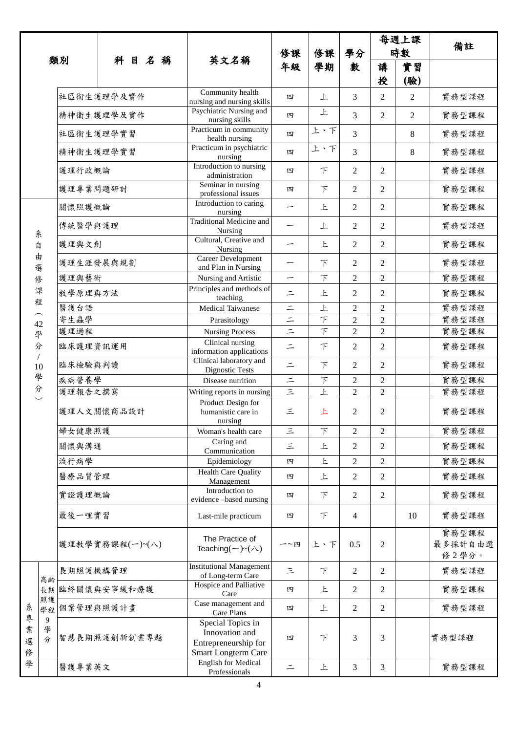| 類別               |                               |                 |            |                                                     |          |                                                                                    |                          |                | 每週上課           |                           |                |       |
|------------------|-------------------------------|-----------------|------------|-----------------------------------------------------|----------|------------------------------------------------------------------------------------|--------------------------|----------------|----------------|---------------------------|----------------|-------|
|                  |                               |                 |            |                                                     |          |                                                                                    | 修課                       | 修課             | 學分             | 時數                        |                | 備註    |
|                  |                               |                 | 科目名稱       |                                                     | 英文名稱     | 年級                                                                                 | 學期                       | 數              | 講              | 實習                        |                |       |
|                  |                               |                 |            |                                                     |          |                                                                                    |                          |                |                | 授                         | (驗)            |       |
|                  |                               | 社區衛生護理學及實作      |            |                                                     |          | Community health<br>nursing and nursing skills                                     | 四                        | 上              | 3              | $\overline{c}$            | $\overline{2}$ | 實務型課程 |
|                  |                               |                 | 精神衛生護理學及實作 |                                                     |          | Psychiatric Nursing and<br>nursing skills                                          | 四                        | 上              | 3              | $\overline{2}$            | $\overline{2}$ | 實務型課程 |
|                  |                               | 社區衛生護理學實習       |            |                                                     |          | Practicum in community<br>health nursing                                           | 四                        | 上、下            | 3              |                           | 8              | 實務型課程 |
|                  |                               | 精神衛生護理學實習       |            |                                                     |          | Practicum in psychiatric<br>nursing                                                | 四                        | 上、下            | 3              |                           | 8              | 實務型課程 |
|                  |                               | 護理行政概論          |            |                                                     |          | Introduction to nursing<br>administration                                          | 四                        | $\top$         | 2              | 2                         |                | 實務型課程 |
|                  |                               | 護理專業問題研討        |            |                                                     |          | Seminar in nursing<br>professional issues                                          | 四                        | $\top$         | 2              | $\overline{2}$            |                | 實務型課程 |
|                  |                               | 關懷照護概論          |            |                                                     |          | Introduction to caring<br>nursing                                                  | $\overline{\phantom{m}}$ | 上              | 2              | $\overline{2}$            |                | 實務型課程 |
|                  | 糸                             | 傳統醫學與護理         |            |                                                     |          | <b>Traditional Medicine and</b><br>Nursing                                         | $\overline{\phantom{0}}$ | 上              | 2              | $\overline{2}$            |                | 實務型課程 |
|                  | 自                             | 護理與文創           |            |                                                     |          | Cultural, Creative and<br>Nursing                                                  | -                        | 上              | 2              | $\overline{2}$            |                | 實務型課程 |
|                  | 由<br>選                        | 護理生涯發展與規劃       |            |                                                     |          | Career Development<br>and Plan in Nursing                                          |                          | F              | 2              | $\overline{2}$            |                | 實務型課程 |
|                  | 俢                             | 護理與藝術           |            |                                                     |          | Nursing and Artistic                                                               | —                        | $\top$         | $\overline{c}$ | $\overline{c}$            |                | 實務型課程 |
|                  | 課                             | 教學原理與方法         |            |                                                     |          | Principles and methods of<br>teaching                                              | $\equiv$                 | 上              | 2              | $\mathfrak{2}$            |                | 實務型課程 |
|                  | 程                             | 醫護台語            |            |                                                     |          | <b>Medical Taiwanese</b>                                                           | $\equiv$                 | 上              | $\overline{2}$ | $\overline{2}$            |                | 實務型課程 |
|                  | $\widehat{\phantom{m}}$<br>42 | 寄生蟲學            |            | Parasitology                                        | $\equiv$ | F                                                                                  | $\overline{c}$           | $\overline{c}$ |                | 實務型課程                     |                |       |
|                  | 學                             | 護理過程            |            |                                                     |          | <b>Nursing Process</b>                                                             | $\vert \cdot \vert$      | $\top$         | $\overline{2}$ | $\overline{2}$            |                | 實務型課程 |
|                  | 分                             | 臨床護理資訊運用        |            | Clinical nursing<br>information applications        | $\equiv$ | F                                                                                  | 2                        | $\overline{2}$ |                | 實務型課程                     |                |       |
|                  | $\sqrt{2}$<br>10              | 臨床檢驗與判讀         |            |                                                     |          | Clinical laboratory and<br>Dignostic Tests                                         | $\equiv$                 | $\top$         | 2              | $\overline{2}$            |                | 實務型課程 |
|                  | 學                             | 疾病營養學           |            |                                                     |          | Disease nutrition                                                                  | $\equiv$                 | F              | $\overline{c}$ | $\overline{2}$            |                | 實務型課程 |
|                  | 分                             | 護理報告之撰寫         |            |                                                     |          | Writing reports in nursing                                                         | $\vert$ iti              | 上              | $\overline{2}$ | $\overline{2}$            |                | 實務型課程 |
|                  |                               | 護理人文關懷商品設計      |            | Product Design for<br>humanistic care in<br>nursing | 三        | 上                                                                                  | 2                        | $\mathfrak{2}$ |                | 實務型課程                     |                |       |
|                  |                               | 婦女健康照護          |            |                                                     |          | Woman's health care                                                                | $\leq$                   | $\top$         | $\overline{c}$ | $\mathfrak{2}$            |                | 實務型課程 |
|                  |                               | 關懷與溝通           |            |                                                     |          | Caring and<br>Communication                                                        | 三                        | 上              | 2              | 2                         |                | 實務型課程 |
|                  |                               | 流行病學            |            |                                                     |          | Epidemiology                                                                       | 四                        | 上              | $\overline{c}$ | $\overline{c}$            |                | 實務型課程 |
|                  |                               | 醫療品質管理          |            |                                                     |          | <b>Health Care Quality</b><br>Management                                           | 四                        | 上              | 2              | $\mathfrak{2}$            |                | 實務型課程 |
|                  |                               | 實證護理概論          |            |                                                     |          | Introduction to<br>evidence -based nursing                                         | 四                        | $\top$         | 2              | $\mathfrak{2}$            |                | 實務型課程 |
|                  |                               | 最後一哩實習          |            |                                                     |          | Last-mile practicum                                                                | 四                        | $\top$         | 4              |                           | 10             | 實務型課程 |
|                  |                               | 護理教學實務課程(一)~(八) |            | The Practice of<br>Teaching $(-)$ ~ $(\wedge)$      | 一~四      | 上、下                                                                                | 0.5                      | $\mathfrak{2}$ |                | 實務型課程<br>最多採計自由選<br>修2學分。 |                |       |
|                  | 高齢                            | 長期照護機構管理        |            |                                                     |          | <b>Institutional Management</b><br>of Long-term Care                               | 三                        | F              | 2              | $\mathfrak{2}$            |                | 實務型課程 |
|                  | 長期                            | 臨終關懷與安寧緩和療護     |            | Hospice and Palliative<br>Care                      | 四        | 上                                                                                  | 2                        | $\mathfrak{2}$ |                | 實務型課程                     |                |       |
| 糸                | 照護<br>學程                      | 個案管理與照護計畫       |            |                                                     |          | Case management and<br>Care Plans                                                  | 四                        | 上              | 2              | 2                         |                | 實務型課程 |
| 專<br>業<br>選<br>俢 | 9<br>學<br>分                   | 智慧長期照護創新創業專題    |            |                                                     |          | Special Topics in<br>Innovation and<br>Entrepreneurship for<br>Smart Longterm Care | 四                        | 下              | 3              | 3                         |                | 實務型課程 |
| 學                |                               | 醫護專業英文          |            |                                                     |          | <b>English for Medical</b><br>Professionals                                        | $\equiv$                 | 上              | 3              | 3                         |                | 實務型課程 |